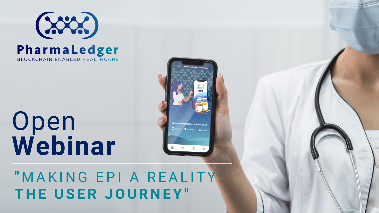

# Open **Webinar**

**"** M A K I N G E P I A R E A L I T Y : THE USER JOURNEY"

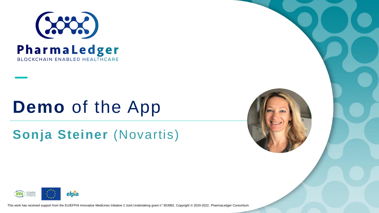

## **Demo** of the App

### **Sonja Steiner** (Novartis)



This work has received support from the EU/EFPIA Innovative Medicines Initiative 2 Joint Undertaking grant n° 853992. Copyright © 2020-2022, PharmaLedger Consortium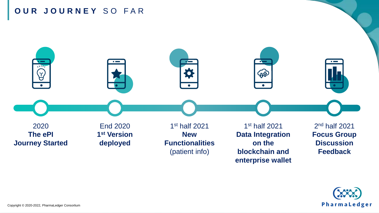#### **O U R J O U R N E Y** S O F A R



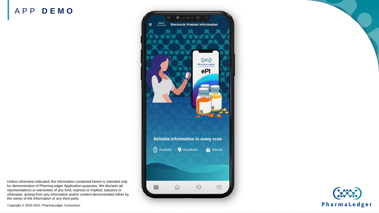#### A P P **D E M O**



**COLAS** PharmaLedger

Unless otherwise indicated, the information contained herein is intended only for demonstration of PharmaLedger Application purposes. We disclaim all representations or warranties of any kind, express or implied, statutory or otherwise, arising from any information and/or content demonstrated either by the owner of the information or any third party.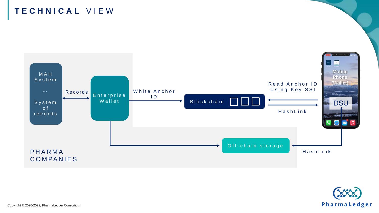

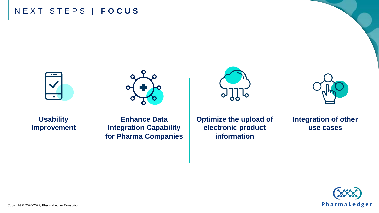#### N E X T S T E P S | **F O C U S**





**Enhance Data Integration Capability for Pharma Companies**

**Optimize the upload of electronic product information**



**Integration of other use cases**





Copyright © 2020-2022, PharmaLedger Consortium